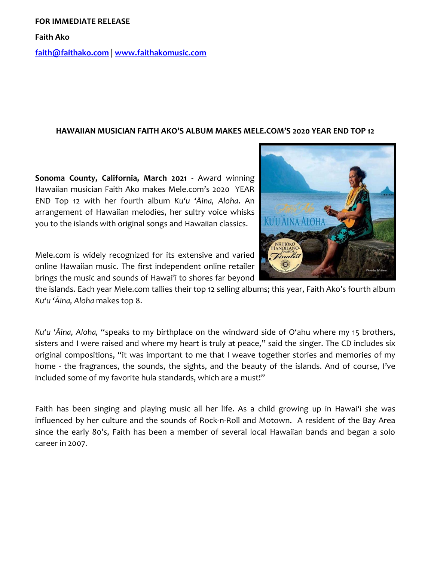## **FOR IMMEDIATE RELEASE**

**Faith Ako**

**[faith@faithako.com](mailto:faith@faithako.com) | [www.faithakomusic.com](http://www.faithakomusic.com/)**

## **HAWAIIAN MUSICIAN FAITH AKO'S ALBUM MAKES MELE.COM'S 2020 YEAR END TOP 12**

**Sonoma County, California, March 2021** - Award winning Hawaiian musician Faith Ako makes Mele.com's 2020 YEAR END Top 12 with her fourth album *Ku'u 'Āina, Aloha*. An arrangement of Hawaiian melodies, her sultry voice whisks you to the islands with original songs and Hawaiian classics.

Mele.com is widely recognized for its extensive and varied online Hawaiian music. The first independent online retailer brings the music and sounds of Hawai'i to shores far beyond

the islands. Each year Mele.com tallies their top 12 selling albums; this year, Faith Ako's fourth album *Ku'u 'Āina, Aloha* makes top 8.

*Ku'u 'Āina, Aloha,* "speaks to my birthplace on the windward side of O'ahu where my 15 brothers, sisters and I were raised and where my heart is truly at peace," said the singer. The CD includes six original compositions, "it was important to me that I weave together stories and memories of my home - the fragrances, the sounds, the sights, and the beauty of the islands. And of course, I've included some of my favorite hula standards, which are a must!"

Faith has been singing and playing music all her life. As a child growing up in Hawai'i she was influenced by her culture and the sounds of Rock-n-Roll and Motown. A resident of the Bay Area since the early 80's, Faith has been a member of several local Hawaiian bands and began a solo career in 2007.

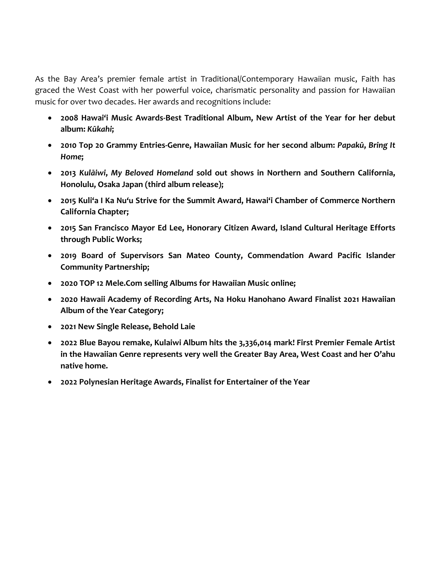As the Bay Area's premier female artist in Traditional/Contemporary Hawaiian music, Faith has graced the West Coast with her powerful voice, charismatic personality and passion for Hawaiian music for over two decades. Her awards and recognitions include:

- **2008 Hawai'i Music Awards-Best Traditional Album, New Artist of the Year for her debut album:** *Kūkahi***;**
- **2010 Top 20 Grammy Entries-Genre, Hawaiian Music for her second album:** *Papakū***,** *Bring It Home***;**
- **2013** *Kulāiwi***,** *My Beloved Homeland* **sold out shows in Northern and Southern California, Honolulu, Osaka Japan (third album release);**
- **2015 Kuli'a I Ka Nu'u Strive for the Summit Award, Hawai'i Chamber of Commerce Northern California Chapter;**
- **2015 San Francisco Mayor Ed Lee, Honorary Citizen Award, Island Cultural Heritage Efforts through Public Works;**
- **2019 Board of Supervisors San Mateo County, Commendation Award Pacific Islander Community Partnership;**
- **2020 TOP 12 Mele.Com selling Albums for Hawaiian Music online;**
- **2020 Hawaii Academy of Recording Arts, Na Hoku Hanohano Award Finalist 2021 Hawaiian Album of the Year Category;**
- **2021 New Single Release, Behold Laie**
- **2022 Blue Bayou remake, Kulaiwi Album hits the 3,336,014 mark! First Premier Female Artist in the Hawaiian Genre represents very well the Greater Bay Area, West Coast and her O'ahu native home.**
- **2022 Polynesian Heritage Awards, Finalist for Entertainer of the Year**